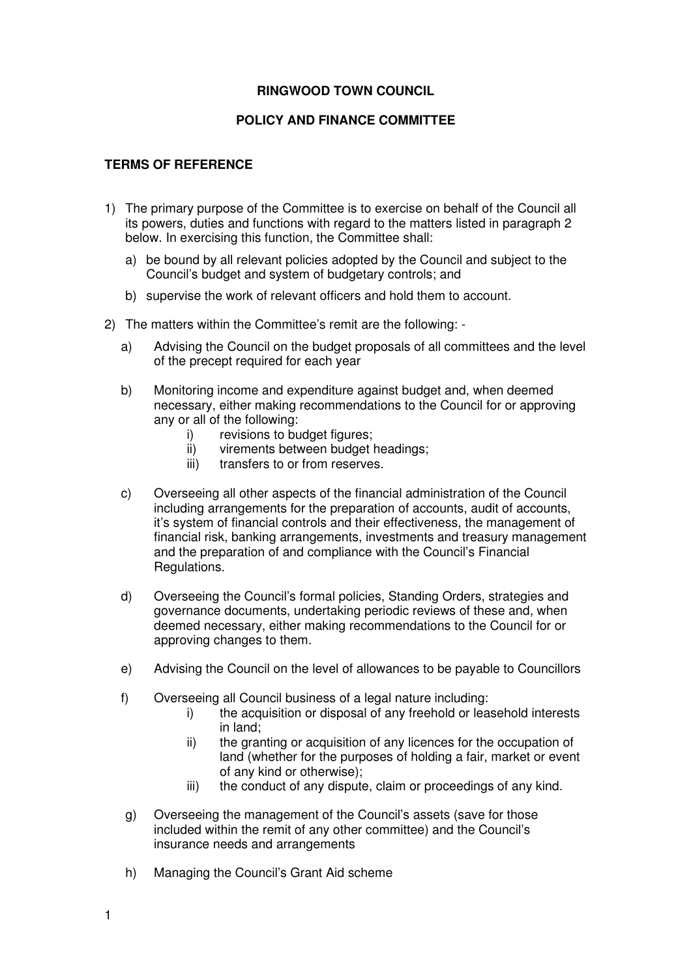## **RINGWOOD TOWN COUNCIL**

## **POLICY AND FINANCE COMMITTEE**

## **TERMS OF REFERENCE**

- 1) The primary purpose of the Committee is to exercise on behalf of the Council all its powers, duties and functions with regard to the matters listed in paragraph 2 below. In exercising this function, the Committee shall:
	- a) be bound by all relevant policies adopted by the Council and subject to the Council's budget and system of budgetary controls; and
	- b) supervise the work of relevant officers and hold them to account.
- 2) The matters within the Committee's remit are the following:
	- a) Advising the Council on the budget proposals of all committees and the level of the precept required for each year
	- b) Monitoring income and expenditure against budget and, when deemed necessary, either making recommendations to the Council for or approving any or all of the following:
		- i) revisions to budget figures;
		- ii) virements between budget headings;
		- iii) transfers to or from reserves.
	- c) Overseeing all other aspects of the financial administration of the Council including arrangements for the preparation of accounts, audit of accounts, it's system of financial controls and their effectiveness, the management of financial risk, banking arrangements, investments and treasury management and the preparation of and compliance with the Council's Financial Regulations.
	- d) Overseeing the Council's formal policies, Standing Orders, strategies and governance documents, undertaking periodic reviews of these and, when deemed necessary, either making recommendations to the Council for or approving changes to them.
	- e) Advising the Council on the level of allowances to be payable to Councillors
	- f) Overseeing all Council business of a legal nature including:
		- i) the acquisition or disposal of any freehold or leasehold interests in land;
		- ii) the granting or acquisition of any licences for the occupation of land (whether for the purposes of holding a fair, market or event of any kind or otherwise);
		- iii) the conduct of any dispute, claim or proceedings of any kind.
	- g) Overseeing the management of the Council's assets (save for those included within the remit of any other committee) and the Council's insurance needs and arrangements
	- h) Managing the Council's Grant Aid scheme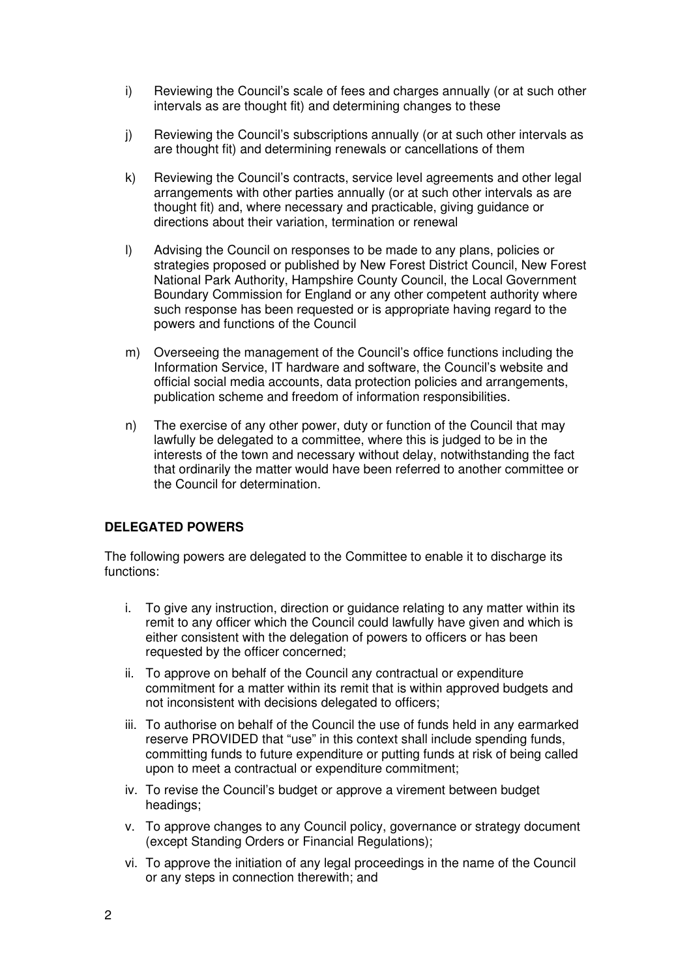- i) Reviewing the Council's scale of fees and charges annually (or at such other intervals as are thought fit) and determining changes to these
- j) Reviewing the Council's subscriptions annually (or at such other intervals as are thought fit) and determining renewals or cancellations of them
- k) Reviewing the Council's contracts, service level agreements and other legal arrangements with other parties annually (or at such other intervals as are thought fit) and, where necessary and practicable, giving guidance or directions about their variation, termination or renewal
- l) Advising the Council on responses to be made to any plans, policies or strategies proposed or published by New Forest District Council, New Forest National Park Authority, Hampshire County Council, the Local Government Boundary Commission for England or any other competent authority where such response has been requested or is appropriate having regard to the powers and functions of the Council
- m) Overseeing the management of the Council's office functions including the Information Service, IT hardware and software, the Council's website and official social media accounts, data protection policies and arrangements, publication scheme and freedom of information responsibilities.
- n) The exercise of any other power, duty or function of the Council that may lawfully be delegated to a committee, where this is judged to be in the interests of the town and necessary without delay, notwithstanding the fact that ordinarily the matter would have been referred to another committee or the Council for determination.

## **DELEGATED POWERS**

The following powers are delegated to the Committee to enable it to discharge its functions:

- i. To give any instruction, direction or guidance relating to any matter within its remit to any officer which the Council could lawfully have given and which is either consistent with the delegation of powers to officers or has been requested by the officer concerned;
- ii. To approve on behalf of the Council any contractual or expenditure commitment for a matter within its remit that is within approved budgets and not inconsistent with decisions delegated to officers;
- iii. To authorise on behalf of the Council the use of funds held in any earmarked reserve PROVIDED that "use" in this context shall include spending funds, committing funds to future expenditure or putting funds at risk of being called upon to meet a contractual or expenditure commitment;
- iv. To revise the Council's budget or approve a virement between budget headings;
- v. To approve changes to any Council policy, governance or strategy document (except Standing Orders or Financial Regulations);
- vi. To approve the initiation of any legal proceedings in the name of the Council or any steps in connection therewith; and